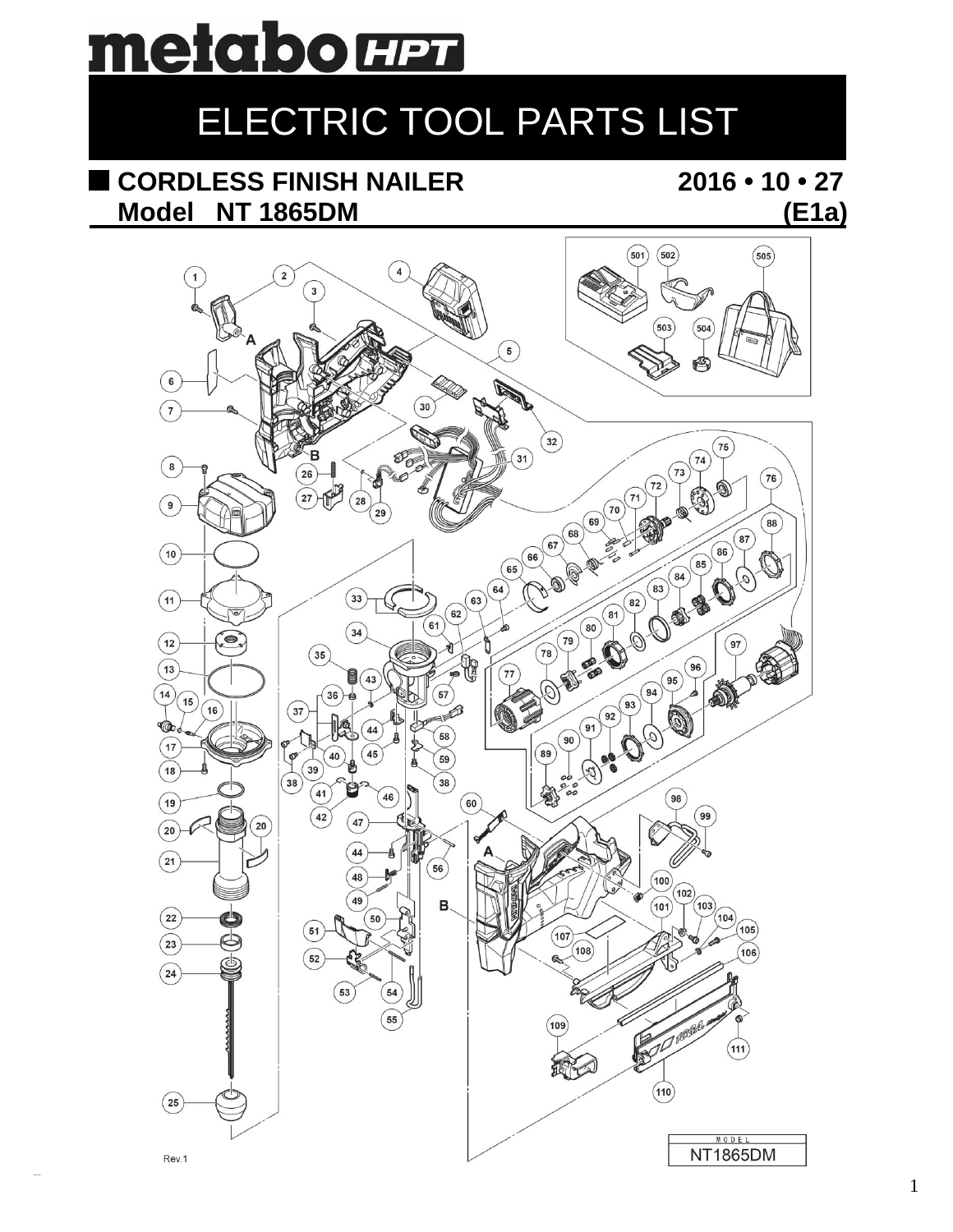

## ELECTRIC TOOL PARTS LIST

## CORDLESS FINISH NAILER Model NT 1865DM

 $2016 \cdot 10 \cdot 27$  $(E1a)$ 

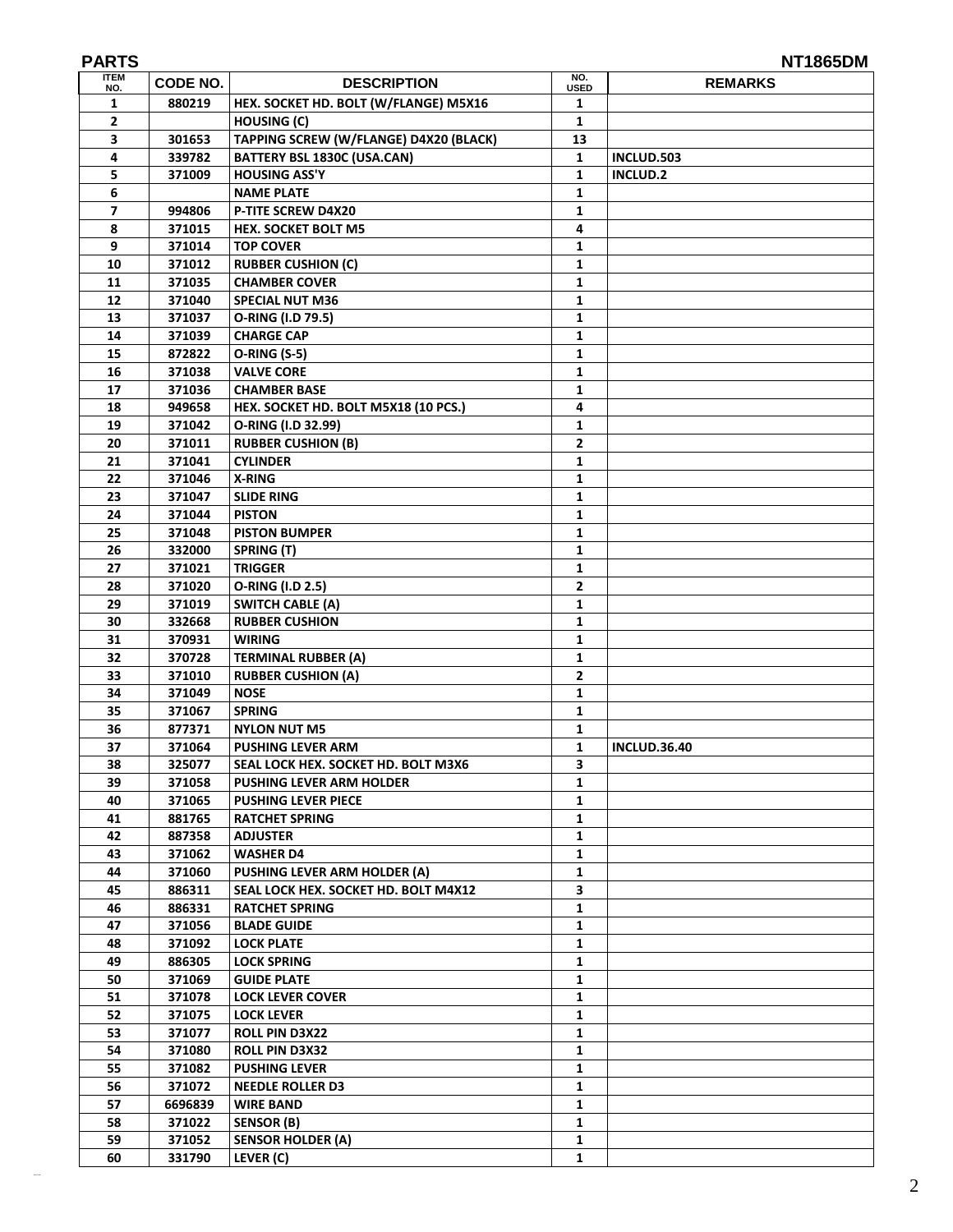| <b>PARTS</b><br><b>ITEM</b> |                  |                                                         | NO.            | <b>NT1865DM</b>     |
|-----------------------------|------------------|---------------------------------------------------------|----------------|---------------------|
| NO.                         | CODE NO.         | <b>DESCRIPTION</b>                                      | <b>USED</b>    | <b>REMARKS</b>      |
| 1                           | 880219           | HEX. SOCKET HD. BOLT (W/FLANGE) M5X16                   | 1              |                     |
| 2                           |                  | <b>HOUSING (C)</b>                                      | 1              |                     |
| 3                           | 301653           | TAPPING SCREW (W/FLANGE) D4X20 (BLACK)                  | 13             |                     |
| 4                           | 339782           | BATTERY BSL 1830C (USA.CAN)                             | $\mathbf{1}$   | INCLUD.503          |
| 5                           | 371009           | <b>HOUSING ASS'Y</b>                                    | $\mathbf{1}$   | <b>INCLUD.2</b>     |
| 6                           |                  | <b>NAME PLATE</b>                                       | $\mathbf{1}$   |                     |
| $\overline{ }$<br>8         | 994806<br>371015 | <b>P-TITE SCREW D4X20</b><br><b>HEX. SOCKET BOLT M5</b> | 1              |                     |
| 9                           | 371014           | <b>TOP COVER</b>                                        | 4<br>1         |                     |
| 10                          | 371012           | <b>RUBBER CUSHION (C)</b>                               | 1              |                     |
| 11                          | 371035           | <b>CHAMBER COVER</b>                                    | 1              |                     |
| 12                          | 371040           | <b>SPECIAL NUT M36</b>                                  | 1              |                     |
| 13                          | 371037           | O-RING (I.D 79.5)                                       | 1              |                     |
| 14                          | 371039           | <b>CHARGE CAP</b>                                       | 1              |                     |
| 15                          | 872822           | <b>O-RING (S-5)</b>                                     | 1              |                     |
| 16                          | 371038           | <b>VALVE CORE</b>                                       | $\mathbf{1}$   |                     |
| 17                          | 371036           | <b>CHAMBER BASE</b>                                     | 1              |                     |
| 18                          | 949658           | HEX. SOCKET HD. BOLT M5X18 (10 PCS.)                    | 4              |                     |
| 19                          | 371042           | O-RING (I.D 32.99)                                      | 1              |                     |
| 20                          | 371011           | <b>RUBBER CUSHION (B)</b>                               | 2              |                     |
| 21                          | 371041           | <b>CYLINDER</b>                                         | 1              |                     |
| 22                          | 371046           | X-RING                                                  | 1              |                     |
| 23                          | 371047           | <b>SLIDE RING</b>                                       | 1              |                     |
| 24                          | 371044           | <b>PISTON</b>                                           | 1              |                     |
| 25                          | 371048           | <b>PISTON BUMPER</b>                                    | 1              |                     |
| 26                          | 332000           | SPRING (T)                                              | 1              |                     |
| 27                          | 371021           | <b>TRIGGER</b>                                          | 1              |                     |
| 28                          | 371020           | O-RING (I.D 2.5)                                        | $\overline{2}$ |                     |
| 29                          | 371019           | <b>SWITCH CABLE (A)</b>                                 | 1              |                     |
| 30                          | 332668           | <b>RUBBER CUSHION</b>                                   | $\mathbf{1}$   |                     |
| 31                          | 370931           | <b>WIRING</b>                                           | 1              |                     |
| 32                          | 370728           | <b>TERMINAL RUBBER (A)</b>                              | 1              |                     |
| 33                          | 371010           | <b>RUBBER CUSHION (A)</b>                               | 2              |                     |
| 34                          | 371049           | <b>NOSE</b>                                             | 1              |                     |
| 35                          | 371067           | <b>SPRING</b>                                           | 1              |                     |
| 36                          | 877371           | <b>NYLON NUT M5</b>                                     | 1              |                     |
| 37                          | 371064           | <b>PUSHING LEVER ARM</b>                                | 1              | <b>INCLUD.36.40</b> |
| 38                          | 325077           | SEAL LOCK HEX. SOCKET HD. BOLT M3X6                     | З              |                     |
| 39                          | 371058           | <b>PUSHING LEVER ARM HOLDER</b>                         | 1              |                     |
| 40                          | 371065           | <b>PUSHING LEVER PIECE</b>                              | 1              |                     |
| 41                          | 881765           | <b>RATCHET SPRING</b>                                   | 1              |                     |
| 42                          | 887358           | <b>ADJUSTER</b>                                         | 1              |                     |
| 43                          | 371062           | <b>WASHER D4</b>                                        | 1              |                     |
| 44                          | 371060           | PUSHING LEVER ARM HOLDER (A)                            | 1              |                     |
| 45                          | 886311           | SEAL LOCK HEX. SOCKET HD. BOLT M4X12                    | 3              |                     |
| 46                          | 886331           | <b>RATCHET SPRING</b>                                   | 1              |                     |
| 47                          | 371056           | <b>BLADE GUIDE</b>                                      | 1              |                     |
| 48                          | 371092           | <b>LOCK PLATE</b>                                       | 1              |                     |
| 49                          | 886305           | <b>LOCK SPRING</b>                                      | 1              |                     |
| 50                          | 371069           | <b>GUIDE PLATE</b>                                      | 1              |                     |
| 51                          | 371078           | <b>LOCK LEVER COVER</b>                                 | 1              |                     |
| 52                          | 371075           | <b>LOCK LEVER</b>                                       | 1              |                     |
| 53                          | 371077           | <b>ROLL PIN D3X22</b>                                   | 1              |                     |
| 54                          | 371080           | <b>ROLL PIN D3X32</b>                                   | 1              |                     |
| 55                          | 371082           | <b>PUSHING LEVER</b>                                    | 1              |                     |
| 56                          | 371072           | <b>NEEDLE ROLLER D3</b>                                 | 1              |                     |
| 57                          | 6696839          | <b>WIRE BAND</b>                                        | 1              |                     |
| 58                          | 371022           | SENSOR (B)                                              | 1              |                     |
| 59                          | 371052           | <b>SENSOR HOLDER (A)</b>                                | 1              |                     |
| 60                          | 331790           | LEVER (C)                                               | 1              |                     |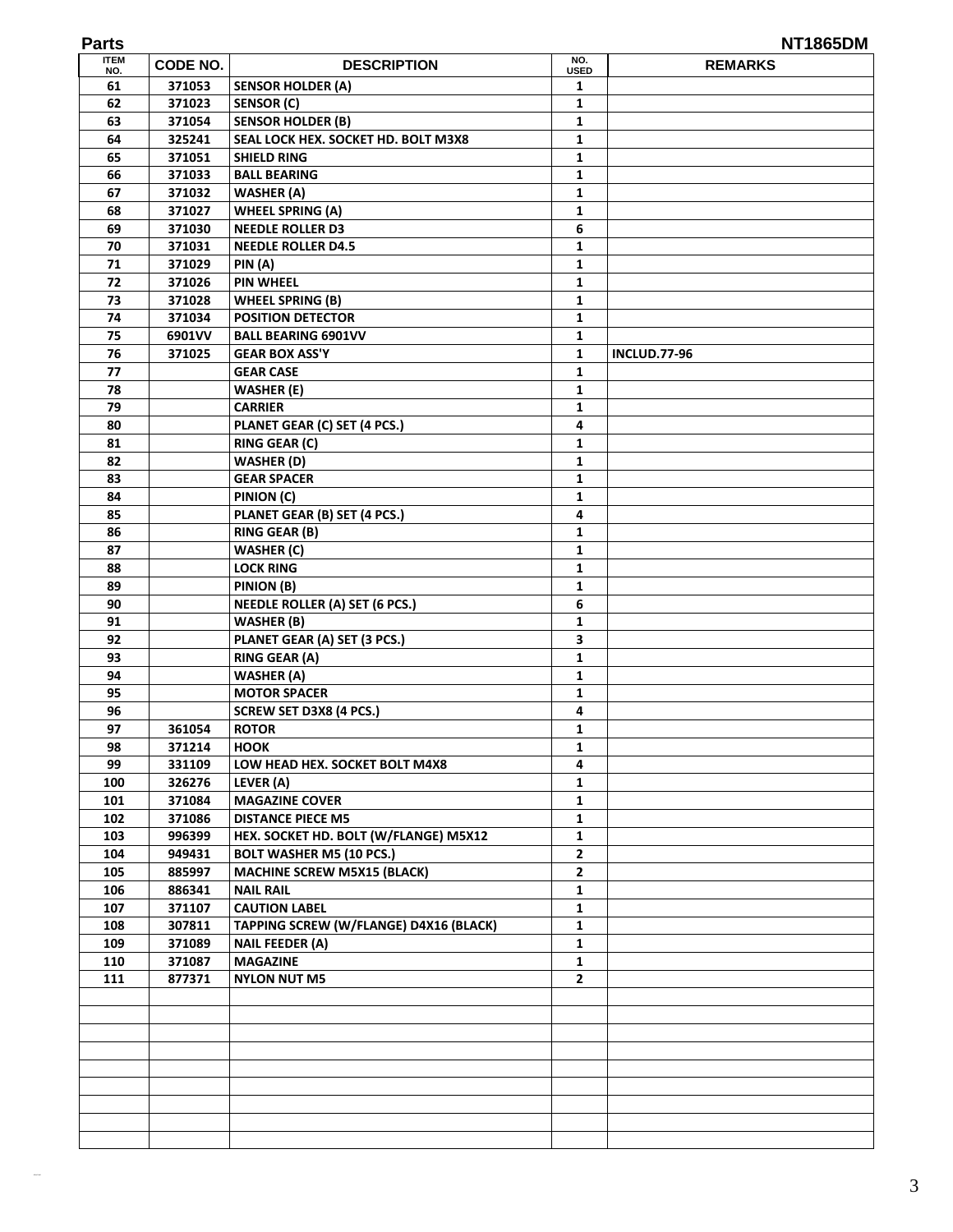| <b>ITEM</b><br>NO. | CODE NO. | <b>DESCRIPTION</b>                     | NO.<br><b>USED</b> | <b>REMARKS</b>      |
|--------------------|----------|----------------------------------------|--------------------|---------------------|
| 61                 | 371053   | <b>SENSOR HOLDER (A)</b>               | 1                  |                     |
| 62                 | 371023   | <b>SENSOR (C)</b>                      | 1                  |                     |
| 63                 | 371054   | <b>SENSOR HOLDER (B)</b>               | 1                  |                     |
| 64                 | 325241   | SEAL LOCK HEX. SOCKET HD. BOLT M3X8    | 1                  |                     |
| 65                 | 371051   | <b>SHIELD RING</b>                     | 1                  |                     |
| 66                 | 371033   | <b>BALL BEARING</b>                    | 1                  |                     |
| 67                 | 371032   | <b>WASHER (A)</b>                      | 1                  |                     |
| 68                 | 371027   | <b>WHEEL SPRING (A)</b>                | 1                  |                     |
| 69                 | 371030   | <b>NEEDLE ROLLER D3</b>                | 6                  |                     |
| 70                 | 371031   | <b>NEEDLE ROLLER D4.5</b>              | 1                  |                     |
| 71                 | 371029   | PIN (A)                                | 1                  |                     |
| 72                 | 371026   | <b>PIN WHEEL</b>                       | 1                  |                     |
| 73                 | 371028   | <b>WHEEL SPRING (B)</b>                | 1                  |                     |
| 74                 | 371034   | <b>POSITION DETECTOR</b>               | 1                  |                     |
| 75                 | 6901VV   | <b>BALL BEARING 6901VV</b>             | 1                  |                     |
| 76                 | 371025   | <b>GEAR BOX ASS'Y</b>                  | 1                  | <b>INCLUD.77-96</b> |
| 77                 |          | <b>GEAR CASE</b>                       | 1                  |                     |
| 78                 |          | <b>WASHER (E)</b>                      | 1                  |                     |
| 79                 |          | <b>CARRIER</b>                         | 1                  |                     |
| 80                 |          | PLANET GEAR (C) SET (4 PCS.)           | 4                  |                     |
| 81                 |          | <b>RING GEAR (C)</b>                   | $\mathbf{1}$       |                     |
| 82                 |          | <b>WASHER (D)</b>                      | 1                  |                     |
| 83                 |          | <b>GEAR SPACER</b>                     | 1                  |                     |
| 84                 |          | PINION (C)                             | 1                  |                     |
| 85                 |          | PLANET GEAR (B) SET (4 PCS.)           | 4                  |                     |
| 86                 |          | <b>RING GEAR (B)</b>                   | 1                  |                     |
| 87                 |          | <b>WASHER (C)</b>                      | 1                  |                     |
| 88                 |          | <b>LOCK RING</b>                       | 1                  |                     |
| 89                 |          | PINION (B)                             | 1                  |                     |
| 90                 |          | <b>NEEDLE ROLLER (A) SET (6 PCS.)</b>  | 6                  |                     |
| 91                 |          | <b>WASHER (B)</b>                      | 1                  |                     |
| 92                 |          | PLANET GEAR (A) SET (3 PCS.)           | 3                  |                     |
| 93                 |          | <b>RING GEAR (A)</b>                   | $\mathbf{1}$       |                     |
| 94                 |          | <b>WASHER (A)</b>                      | 1                  |                     |
| 95                 |          | <b>MOTOR SPACER</b>                    | 1                  |                     |
| 96                 |          | SCREW SET D3X8 (4 PCS.)                | 4                  |                     |
| 97                 | 361054   | <b>ROTOR</b>                           | 1                  |                     |
| 98                 | 371214   | <b>HOOK</b>                            | $\mathbf{1}$       |                     |
| 99                 | 331109   | LOW HEAD HEX. SOCKET BOLT M4X8         | 4                  |                     |
| 100                | 326276   | LEVER (A)                              | 1                  |                     |
| 101                | 371084   | <b>MAGAZINE COVER</b>                  | 1                  |                     |
| 102                | 371086   | <b>DISTANCE PIECE M5</b>               | 1                  |                     |
| 103                | 996399   | HEX. SOCKET HD. BOLT (W/FLANGE) M5X12  | 1                  |                     |
| 104                | 949431   | <b>BOLT WASHER M5 (10 PCS.)</b>        | $\mathbf{2}$       |                     |
| 105                | 885997   | <b>MACHINE SCREW M5X15 (BLACK)</b>     | $\mathbf{2}$       |                     |
| 106                | 886341   | <b>NAIL RAIL</b>                       | 1                  |                     |
| 107                | 371107   | <b>CAUTION LABEL</b>                   | 1                  |                     |
| 108                | 307811   | TAPPING SCREW (W/FLANGE) D4X16 (BLACK) | 1                  |                     |
| 109                | 371089   | <b>NAIL FEEDER (A)</b>                 | 1                  |                     |
| 110                | 371087   | <b>MAGAZINE</b>                        | 1                  |                     |
| 111                | 877371   | <b>NYLON NUT M5</b>                    | 2                  |                     |
|                    |          |                                        |                    |                     |
|                    |          |                                        |                    |                     |
|                    |          |                                        |                    |                     |
|                    |          |                                        |                    |                     |
|                    |          |                                        |                    |                     |
|                    |          |                                        |                    |                     |
|                    |          |                                        |                    |                     |
|                    |          |                                        |                    |                     |
|                    |          |                                        |                    |                     |
|                    |          |                                        |                    |                     |

**Parts NT1865DM**